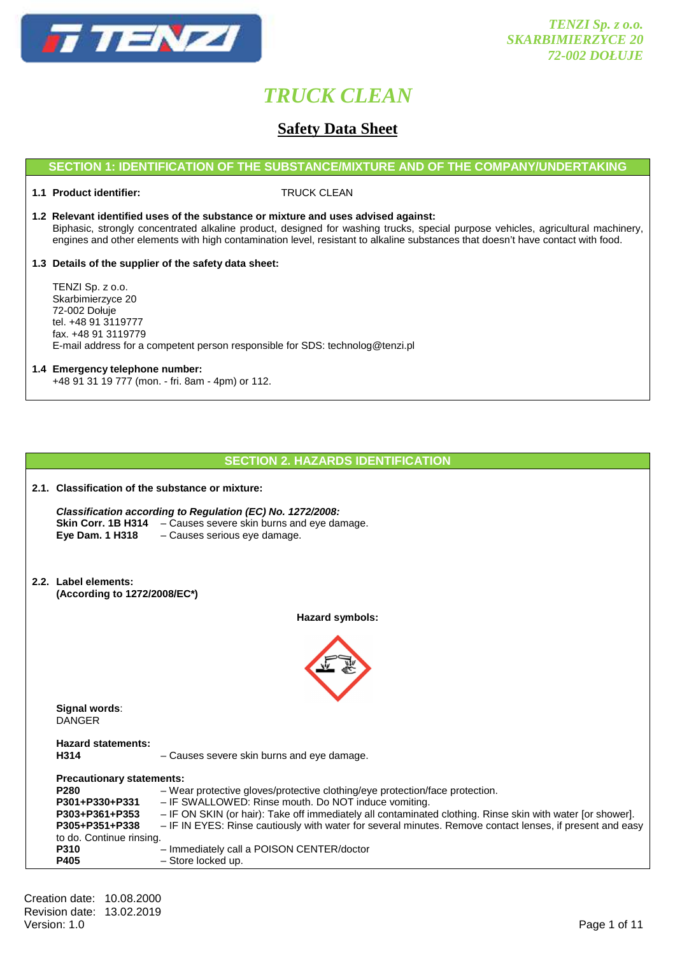

# **Safety Data Sheet**

## **SECTION 1: IDENTIFICATION OF THE SUBSTANCE/MIXTURE AND OF THE COMPANY/UNDERTAKING**

# **1.1 Product identifier:** TRUCK CLEAN

**1.2 Relevant identified uses of the substance or mixture and uses advised against:** Biphasic, strongly concentrated alkaline product, designed for washing trucks, special purpose vehicles, agricultural machinery, engines and other elements with high contamination level, resistant to alkaline substances that doesn't have contact with food.

## **1.3 Details of the supplier of the safety data sheet:**

 TENZI Sp. z o.o. Skarbimierzyce 20 72-002 Dołuje tel. +48 91 3119777 fax. +48 91 3119779 E-mail address for a competent person responsible for SDS: technolog@tenzi.pl

#### **1.4 Emergency telephone number:**

+48 91 31 19 777 (mon. - fri. 8am - 4pm) or 112.

|                                                                                                                                    | <u>SECTION Z. HAZARDS IDENTIFICATION</u>                                                                                                                                                                                                                                                                                                                                                                     |  |
|------------------------------------------------------------------------------------------------------------------------------------|--------------------------------------------------------------------------------------------------------------------------------------------------------------------------------------------------------------------------------------------------------------------------------------------------------------------------------------------------------------------------------------------------------------|--|
| 2.1. Classification of the substance or mixture:                                                                                   |                                                                                                                                                                                                                                                                                                                                                                                                              |  |
| Eye Dam. 1 H318                                                                                                                    | Classification according to Regulation (EC) No. 1272/2008:<br>Skin Corr. 1B H314 - Causes severe skin burns and eye damage.<br>- Causes serious eye damage.                                                                                                                                                                                                                                                  |  |
| 2.2. Label elements:<br>(According to 1272/2008/EC*)                                                                               |                                                                                                                                                                                                                                                                                                                                                                                                              |  |
|                                                                                                                                    | <b>Hazard symbols:</b>                                                                                                                                                                                                                                                                                                                                                                                       |  |
| Signal words:<br><b>DANGER</b>                                                                                                     |                                                                                                                                                                                                                                                                                                                                                                                                              |  |
| <b>Hazard statements:</b><br>H314                                                                                                  | - Causes severe skin burns and eye damage.                                                                                                                                                                                                                                                                                                                                                                   |  |
| <b>Precautionary statements:</b><br>P280<br>P301+P330+P331<br>P303+P361+P353<br>P305+P351+P338<br>to do. Continue rinsing.<br>P310 | - Wear protective gloves/protective clothing/eye protection/face protection.<br>- IF SWALLOWED: Rinse mouth. Do NOT induce vomiting.<br>- IF ON SKIN (or hair): Take off immediately all contaminated clothing. Rinse skin with water [or shower].<br>- IF IN EYES: Rinse cautiously with water for several minutes. Remove contact lenses, if present and easy<br>- Immediately call a POISON CENTER/doctor |  |
| P405                                                                                                                               | - Store locked up.                                                                                                                                                                                                                                                                                                                                                                                           |  |

**SECTION 2. HAZARDS IDENTIFICATION**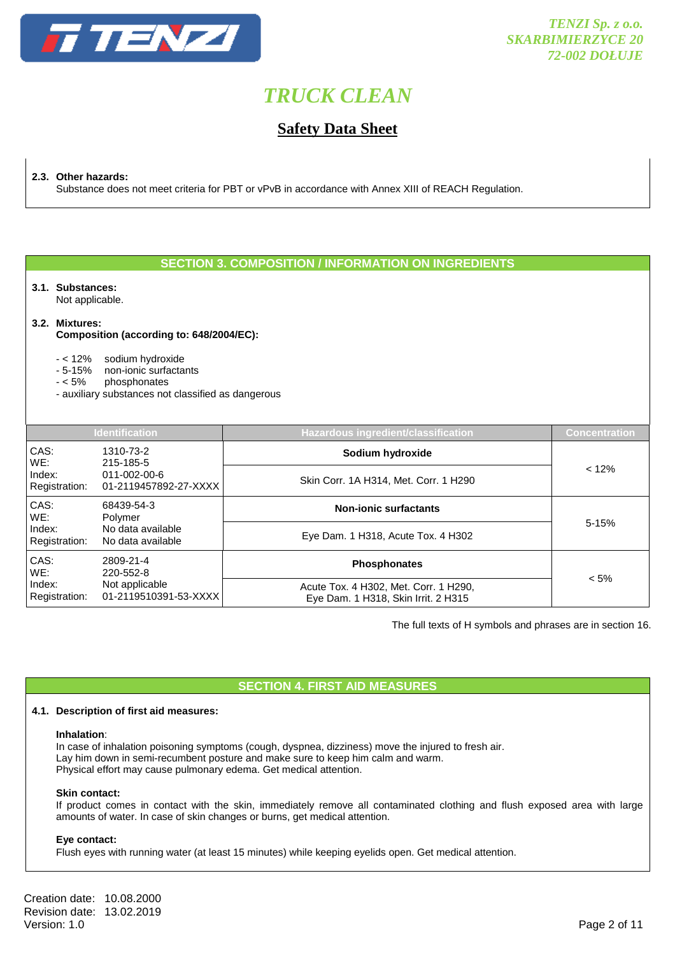

# **Safety Data Sheet**

**2.3. Other hazards:** 

Substance does not meet criteria for PBT or vPvB in accordance with Annex XIII of REACH Regulation.

# **SECTION 3. COMPOSITION / INFORMATION ON INGREDIENTS**

# **3.1. Substances:**

Not applicable.

#### **3.2. Mixtures:**

#### **Composition (according to: 648/2004/EC):**

- < 12% sodium hydroxide
- 5-15% non-ionic surfactants
- < 5% phosphonates
- auxiliary substances not classified as dangerous

| <b>Identification</b>   |                                                                   | <b>Hazardous ingredient/classification</b>                                   | <b>Concentration</b> |  |
|-------------------------|-------------------------------------------------------------------|------------------------------------------------------------------------------|----------------------|--|
| CAS:<br>WE:             | 1310-73-2<br>215-185-5                                            | Sodium hydroxide                                                             |                      |  |
| Index:<br>Registration: | $011 - 002 - 00 - 6$<br>01-2119457892-27-XXXX                     | Skin Corr. 1A H314, Met. Corr. 1 H290                                        | < 12%                |  |
| CAS:<br>WE:             | 68439-54-3<br>Polymer<br>No data available<br>No data available   | <b>Non-ionic surfactants</b>                                                 |                      |  |
| Index:<br>Registration: |                                                                   | Eye Dam. 1 H318, Acute Tox. 4 H302                                           | 5-15%                |  |
| CAS:<br>WE:             | 2809-21-4<br>220-552-8<br>Not applicable<br>01-2119510391-53-XXXX | <b>Phosphonates</b>                                                          |                      |  |
| Index:<br>Registration: |                                                                   | Acute Tox. 4 H302, Met. Corr. 1 H290,<br>Eye Dam. 1 H318, Skin Irrit. 2 H315 | $< 5\%$              |  |

The full texts of H symbols and phrases are in section 16.

## **SECTION 4. FIRST AID MEASURES**

### **4.1. Description of first aid measures:**

#### **Inhalation**:

In case of inhalation poisoning symptoms (cough, dyspnea, dizziness) move the injured to fresh air. Lay him down in semi-recumbent posture and make sure to keep him calm and warm. Physical effort may cause pulmonary edema. Get medical attention.

#### **Skin contact:**

If product comes in contact with the skin, immediately remove all contaminated clothing and flush exposed area with large amounts of water. In case of skin changes or burns, get medical attention.

#### **Eye contact:**

Flush eyes with running water (at least 15 minutes) while keeping eyelids open. Get medical attention.

Creation date: 10.08.2000 Revision date: 13.02.2019<br>Version: 1.0 Version: 1.0 Page 2 of 11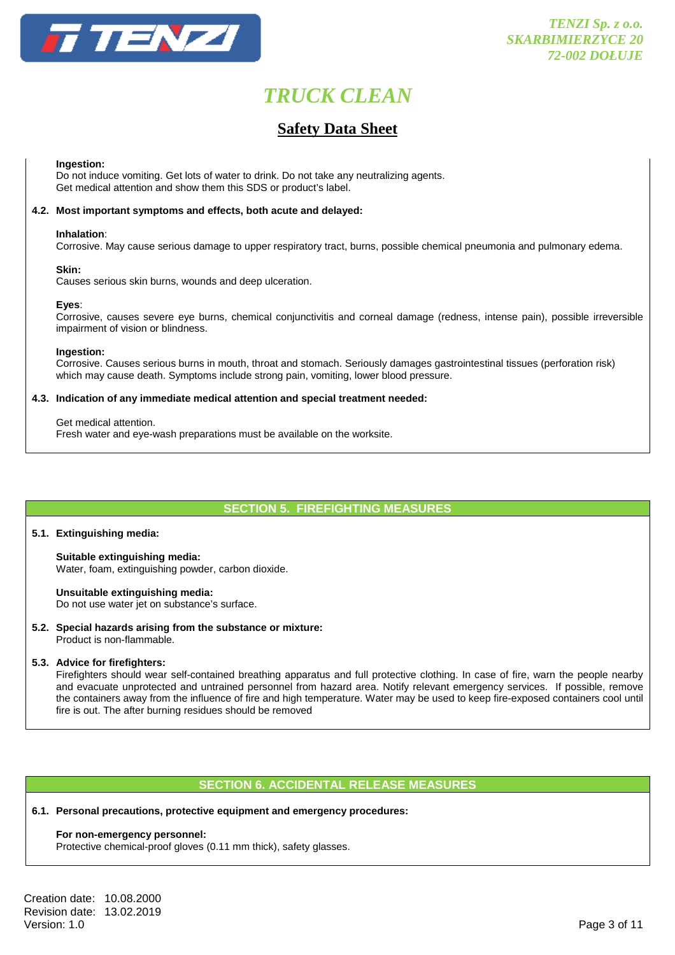

# **Safety Data Sheet**

#### **Ingestion:**

Do not induce vomiting. Get lots of water to drink. Do not take any neutralizing agents. Get medical attention and show them this SDS or product's label.

#### **4.2. Most important symptoms and effects, both acute and delayed:**

#### **Inhalation**:

Corrosive. May cause serious damage to upper respiratory tract, burns, possible chemical pneumonia and pulmonary edema.

#### **Skin:**

Causes serious skin burns, wounds and deep ulceration.

#### **Eyes**:

Corrosive, causes severe eye burns, chemical conjunctivitis and corneal damage (redness, intense pain), possible irreversible impairment of vision or blindness.

#### **Ingestion:**

 Corrosive. Causes serious burns in mouth, throat and stomach. Seriously damages gastrointestinal tissues (perforation risk) which may cause death. Symptoms include strong pain, vomiting, lower blood pressure.

#### **4.3. Indication of any immediate medical attention and special treatment needed:**

#### Get medical attention.

Fresh water and eye-wash preparations must be available on the worksite.

**SECTION 5. FIREFIGHTING MEASURES** 

#### **5.1. Extinguishing media:**

**Suitable extinguishing media:**  Water, foam, extinguishing powder, carbon dioxide.

**Unsuitable extinguishing media:**  Do not use water jet on substance's surface.

**5.2. Special hazards arising from the substance or mixture:**  Product is non-flammable.

## **5.3. Advice for firefighters:**

 Firefighters should wear self-contained breathing apparatus and full protective clothing. In case of fire, warn the people nearby and evacuate unprotected and untrained personnel from hazard area. Notify relevant emergency services. If possible, remove the containers away from the influence of fire and high temperature. Water may be used to keep fire-exposed containers cool until fire is out. The after burning residues should be removed

## **SECTION 6. ACCIDENTAL RELEASE MEASURES**

#### **6.1. Personal precautions, protective equipment and emergency procedures:**

#### **For non-emergency personnel:**

Protective chemical-proof gloves (0.11 mm thick), safety glasses.

Creation date: 10.08.2000 Revision date: 13.02.2019<br>Version: 1.0 Version: 1.0 Page 3 of 11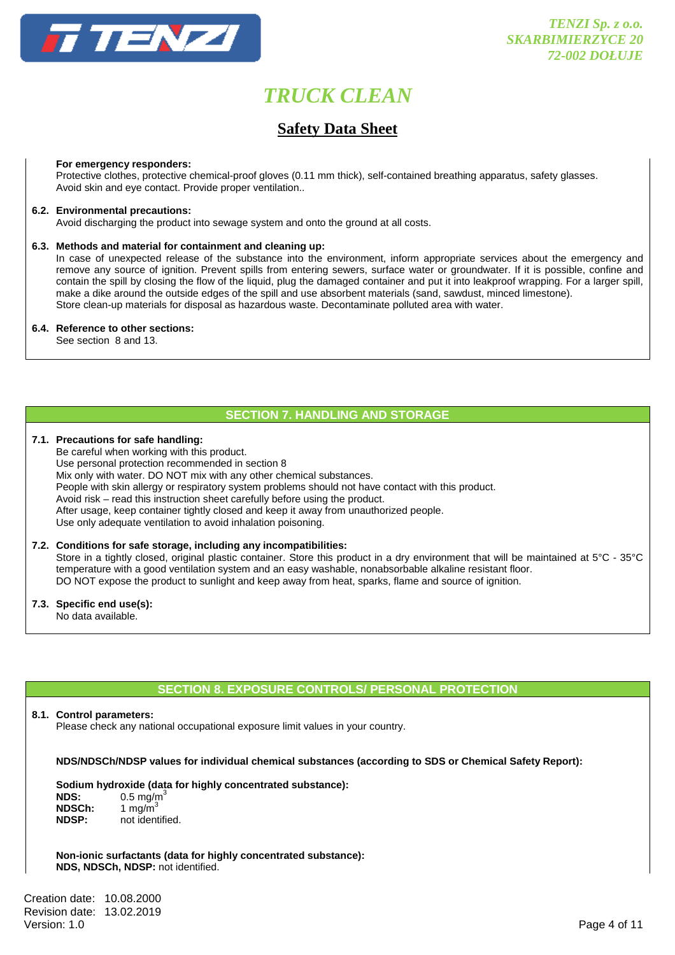

# **Safety Data Sheet**

#### **For emergency responders:**

 Protective clothes, protective chemical-proof gloves (0.11 mm thick), self-contained breathing apparatus, safety glasses. Avoid skin and eye contact. Provide proper ventilation..

#### **6.2. Environmental precautions:**

Avoid discharging the product into sewage system and onto the ground at all costs.

#### **6.3. Methods and material for containment and cleaning up:**

 In case of unexpected release of the substance into the environment, inform appropriate services about the emergency and remove any source of ignition. Prevent spills from entering sewers, surface water or groundwater. If it is possible, confine and contain the spill by closing the flow of the liquid, plug the damaged container and put it into leakproof wrapping. For a larger spill, make a dike around the outside edges of the spill and use absorbent materials (sand, sawdust, minced limestone). Store clean-up materials for disposal as hazardous waste. Decontaminate polluted area with water.

#### **6.4. Reference to other sections:**

See section 8 and 13.

# **SECTION 7. HANDLING AND STORAGE**

## **7.1. Precautions for safe handling:**

 Be careful when working with this product. Use personal protection recommended in section 8 Mix only with water. DO NOT mix with any other chemical substances. People with skin allergy or respiratory system problems should not have contact with this product. Avoid risk – read this instruction sheet carefully before using the product. After usage, keep container tightly closed and keep it away from unauthorized people. Use only adequate ventilation to avoid inhalation poisoning.

#### **7.2. Conditions for safe storage, including any incompatibilities:**

 Store in a tightly closed, original plastic container. Store this product in a dry environment that will be maintained at 5°C - 35°C temperature with a good ventilation system and an easy washable, nonabsorbable alkaline resistant floor. DO NOT expose the product to sunlight and keep away from heat, sparks, flame and source of ignition.

#### **7.3. Specific end use(s):**

No data available.

# **SECTION 8. EXPOSURE CONTROLS/ PERSONAL PROTECTION**

#### **8.1. Control parameters:**

Please check any national occupational exposure limit values in your country.

### **NDS/NDSCh/NDSP values for individual chemical substances (according to SDS or Chemical Safety Report):**

#### **Sodium hydroxide (data for highly concentrated substance):**

| NDS:         | $0.5 \text{ mg/m}^3$ |
|--------------|----------------------|
| NDSCh:       | 1 mg/m $3$           |
| <b>NDSP:</b> | not identified.      |

**Non-ionic surfactants (data for highly concentrated substance): NDS, NDSCh, NDSP:** not identified.

Creation date: 10.08.2000 Revision date: 13.02.2019<br>Version: 1.0 Version: 1.0 Page 4 of 11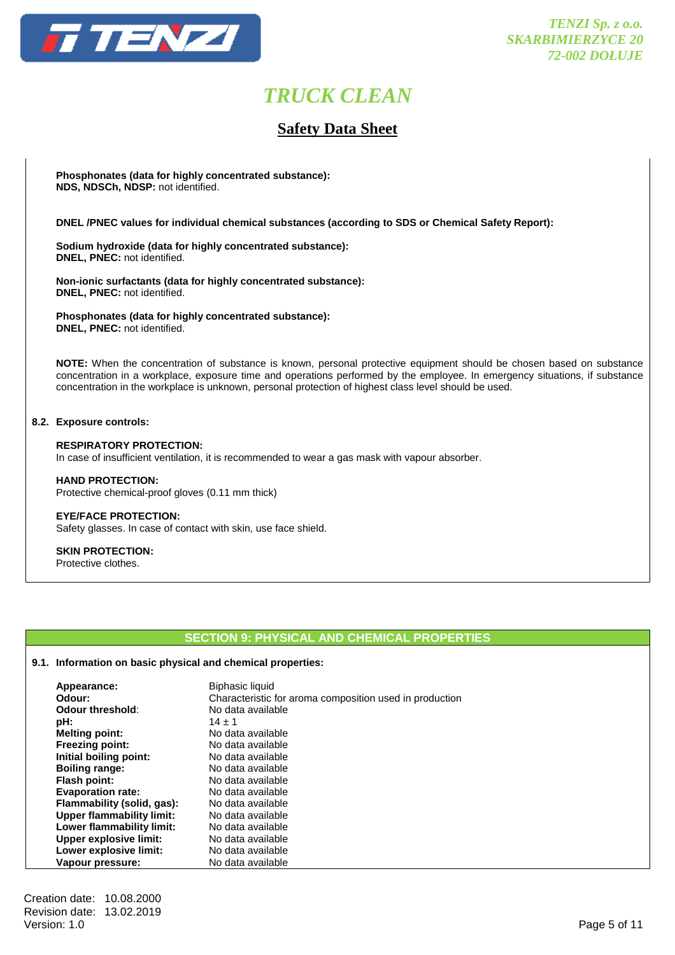

# **Safety Data Sheet**

**Phosphonates (data for highly concentrated substance): NDS, NDSCh, NDSP:** not identified.

 **DNEL /PNEC values for individual chemical substances (according to SDS or Chemical Safety Report):** 

**Sodium hydroxide (data for highly concentrated substance): DNEL, PNEC:** not identified.

**Non-ionic surfactants (data for highly concentrated substance): DNEL, PNEC:** not identified.

**Phosphonates (data for highly concentrated substance): DNEL, PNEC:** not identified.

**NOTE:** When the concentration of substance is known, personal protective equipment should be chosen based on substance concentration in a workplace, exposure time and operations performed by the employee. In emergency situations, if substance concentration in the workplace is unknown, personal protection of highest class level should be used.

#### **8.2. Exposure controls:**

#### **RESPIRATORY PROTECTION:**  In case of insufficient ventilation, it is recommended to wear a gas mask with vapour absorber.

 **HAND PROTECTION:**  Protective chemical-proof gloves (0.11 mm thick)

## **EYE/FACE PROTECTION:**

Safety glasses. In case of contact with skin, use face shield.

# **SKIN PROTECTION:**

Protective clothes.

# **SECTION 9: PHYSICAL AND CHEMICAL PROPERTIES**

## **9.1. Information on basic physical and chemical properties:**

| Appearance:<br>Odour:         | <b>Biphasic liquid</b><br>Characteristic for aroma composition used in production |
|-------------------------------|-----------------------------------------------------------------------------------|
| Odour threshold:              | No data available                                                                 |
| pH:                           | $14 \pm 1$                                                                        |
| <b>Melting point:</b>         | No data available                                                                 |
| <b>Freezing point:</b>        | No data available                                                                 |
| Initial boiling point:        | No data available                                                                 |
| <b>Boiling range:</b>         | No data available                                                                 |
| <b>Flash point:</b>           | No data available                                                                 |
| <b>Evaporation rate:</b>      | No data available                                                                 |
| Flammability (solid, gas):    | No data available                                                                 |
| Upper flammability limit:     | No data available                                                                 |
| Lower flammability limit:     | No data available                                                                 |
| <b>Upper explosive limit:</b> | No data available                                                                 |
| Lower explosive limit:        | No data available                                                                 |
| Vapour pressure:              | No data available                                                                 |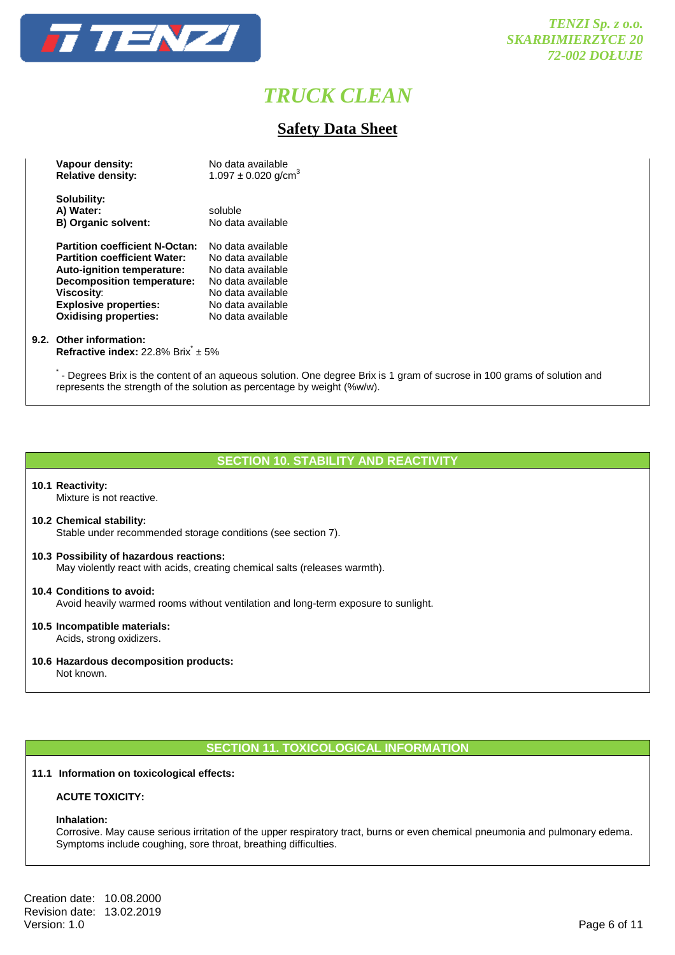

# **Safety Data Sheet**

| Vapour density:                       | No data available                   |
|---------------------------------------|-------------------------------------|
| <b>Relative density:</b>              | $1.097 \pm 0.020$ g/cm <sup>3</sup> |
| Solubility:                           |                                     |
|                                       |                                     |
| A) Water:                             | soluble                             |
| <b>B) Organic solvent:</b>            | No data available                   |
|                                       |                                     |
| <b>Partition coefficient N-Octan:</b> | No data available                   |
| <b>Partition coefficient Water:</b>   | No data available                   |
| <b>Auto-ignition temperature:</b>     | No data available                   |
| <b>Decomposition temperature:</b>     | No data available                   |
| <b>Viscosity:</b>                     | No data available                   |
| <b>Explosive properties:</b>          | No data available                   |
| <b>Oxidising properties:</b>          | No data available                   |

#### **9.2. Other information:**

**Refractive index:** 22.8% Brix<sup>\*</sup> ± 5%

- Degrees Brix is the content of an aqueous solution. One degree Brix is 1 gram of sucrose in 100 grams of solution and represents the strength of the solution as percentage by weight (%w/w).

## **SECTION 10. STABILITY AND REACTIVITY**

#### **10.1 Reactivity:**

Mixture is not reactive.

#### **10.2 Chemical stability:** Stable under recommended storage conditions (see section 7).

**10.3 Possibility of hazardous reactions:** May violently react with acids, creating chemical salts (releases warmth).

## **10.4 Conditions to avoid:** Avoid heavily warmed rooms without ventilation and long-term exposure to sunlight.

- **10.5 Incompatible materials:** Acids, strong oxidizers.
- **10.6 Hazardous decomposition products:**

Not known.

# **SECTION 11. TOXICOLOGICAL INFORMATION**

#### **11.1 Information on toxicological effects:**

#### **ACUTE TOXICITY:**

#### **Inhalation:**

 Corrosive. May cause serious irritation of the upper respiratory tract, burns or even chemical pneumonia and pulmonary edema. Symptoms include coughing, sore throat, breathing difficulties.

Creation date: 10.08.2000 Revision date: 13.02.2019<br>Version: 1.0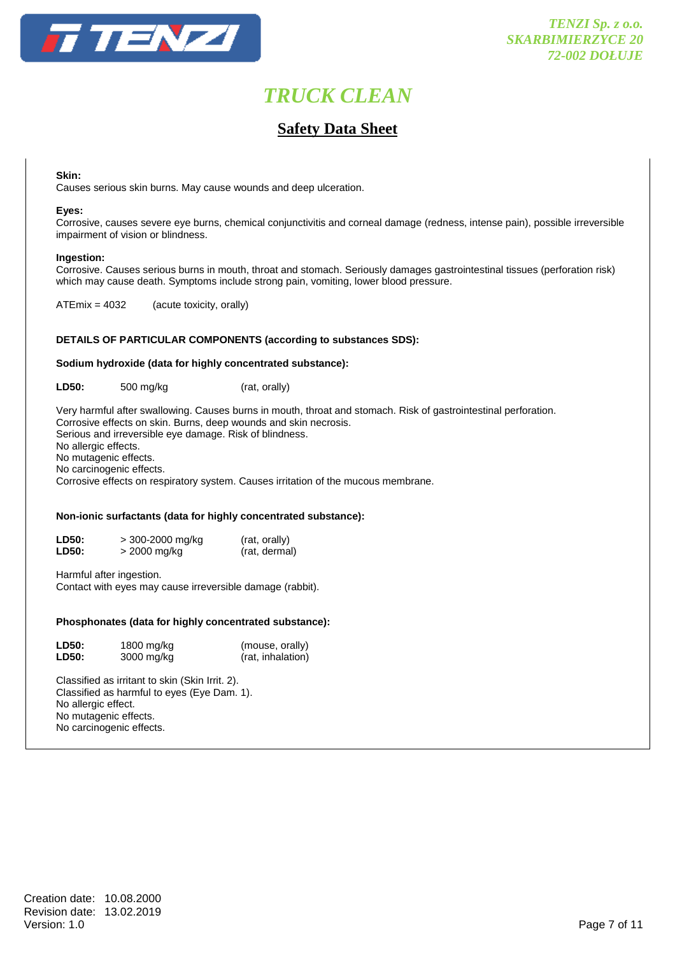

# **Safety Data Sheet**

#### **Skin:**

Causes serious skin burns. May cause wounds and deep ulceration.

#### **Eyes:**

 Corrosive, causes severe eye burns, chemical conjunctivitis and corneal damage (redness, intense pain), possible irreversible impairment of vision or blindness.

#### **Ingestion:**

 Corrosive. Causes serious burns in mouth, throat and stomach. Seriously damages gastrointestinal tissues (perforation risk) which may cause death. Symptoms include strong pain, vomiting, lower blood pressure.

ATEmix = 4032 (acute toxicity, orally)

#### **DETAILS OF PARTICULAR COMPONENTS (according to substances SDS):**

#### **Sodium hydroxide (data for highly concentrated substance):**

**LD50:** 500 mg/kg (rat, orally)

 Very harmful after swallowing. Causes burns in mouth, throat and stomach. Risk of gastrointestinal perforation. Corrosive effects on skin. Burns, deep wounds and skin necrosis. Serious and irreversible eye damage. Risk of blindness. No allergic effects. No mutagenic effects. No carcinogenic effects. Corrosive effects on respiratory system. Causes irritation of the mucous membrane.

## **Non-ionic surfactants (data for highly concentrated substance):**

| LD50: | > 300-2000 mg/kg | (rat, orally) |
|-------|------------------|---------------|
| LD50: | > 2000 mg/kg     | (rat, dermal) |

 Harmful after ingestion. Contact with eyes may cause irreversible damage (rabbit).

#### **Phosphonates (data for highly concentrated substance):**

| <b>LD50:</b> | 1800 mg/kg | (mouse, orally)   |
|--------------|------------|-------------------|
| LD50:        | 3000 mg/kg | (rat, inhalation) |

 Classified as irritant to skin (Skin Irrit. 2). Classified as harmful to eyes (Eye Dam. 1). No allergic effect. No mutagenic effects. No carcinogenic effects.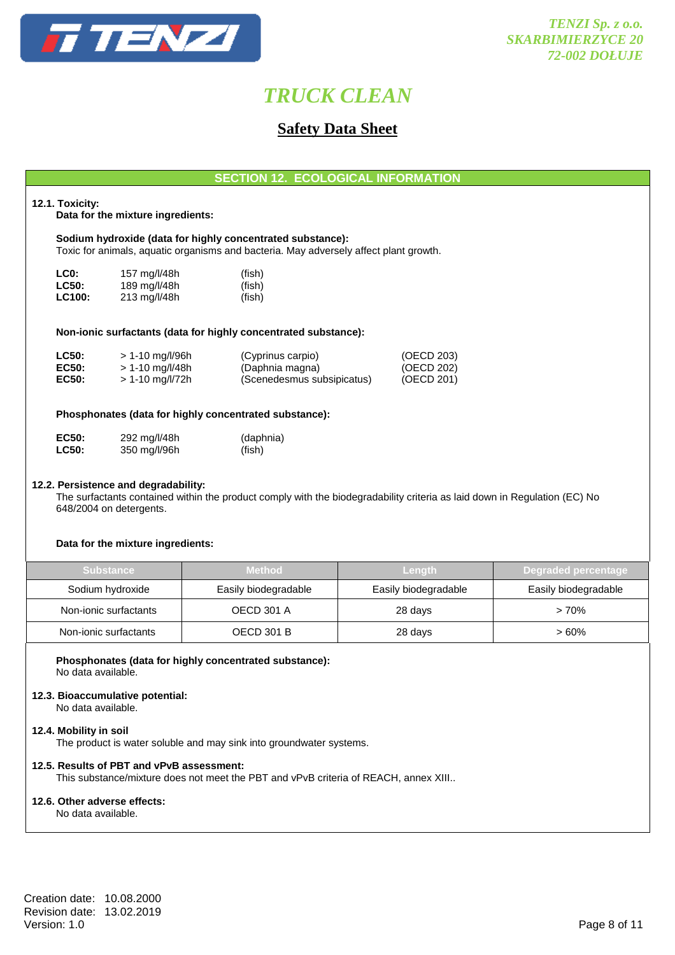

# **Safety Data Sheet**

**SECTION 12. ECOLOGICAL INFORMATION** 

#### **12.1. Toxicity:**

**Data for the mixture ingredients:** 

 **Sodium hydroxide (data for highly concentrated substance):**  Toxic for animals, aquatic organisms and bacteria. May adversely affect plant growth.

| LC <sub>0</sub> : | 157 mg/l/48h | (fish) |
|-------------------|--------------|--------|
| <b>LC50:</b>      | 189 mg/l/48h | (fish) |
| <b>LC100:</b>     | 213 mg/l/48h | (fish) |

#### **Non-ionic surfactants (data for highly concentrated substance):**

| <b>LC50:</b> | > 1-10 mg/l/96h   | (Cyprinus carpio)          | (OECD 203) |
|--------------|-------------------|----------------------------|------------|
| EC50:        | > 1-10 mg/l/48h   | (Daphnia magna)            | (OECD 202) |
| <b>EC50:</b> | $> 1-10$ mg/l/72h | (Scenedesmus subsipicatus) | (OECD 201) |

### **Phosphonates (data for highly concentrated substance):**

| <b>EC50:</b> | 292 mg/l/48h | (daphnia) |
|--------------|--------------|-----------|
| <b>LC50:</b> | 350 mg/l/96h | (fish)    |

#### **12.2. Persistence and degradability:**

 The surfactants contained within the product comply with the biodegradability criteria as laid down in Regulation (EC) No 648/2004 on detergents.

#### **Data for the mixture ingredients:**

| <b>Substance</b>      | <b>Method</b>        | Lenath               | Degraded percentage  |
|-----------------------|----------------------|----------------------|----------------------|
| Sodium hydroxide      | Easily biodegradable | Easily biodegradable | Easily biodegradable |
| Non-ionic surfactants | <b>OECD 301 A</b>    | 28 days              | $>70\%$              |
| Non-ionic surfactants | <b>OECD 301 B</b>    | 28 days              | $>60\%$              |

#### **Phosphonates (data for highly concentrated substance):**  No data available.

#### **12.3. Bioaccumulative potential:**

No data available.

## **12.4. Mobility in soil**

The product is water soluble and may sink into groundwater systems.

## **12.5. Results of PBT and vPvB assessment:**

This substance/mixture does not meet the PBT and vPvB criteria of REACH, annex XIII..

#### **12.6. Other adverse effects:**

No data available.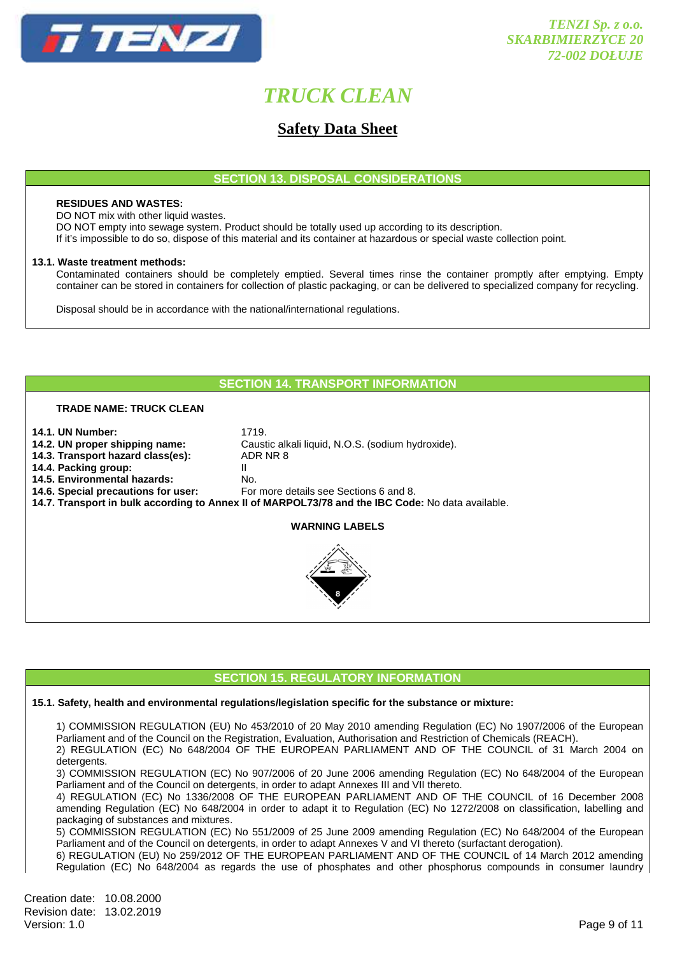

# **Safety Data Sheet**

**SECTION 13. DISPOSAL CONSIDERATIONS** 

#### **RESIDUES AND WASTES:**

DO NOT mix with other liquid wastes.

DO NOT empty into sewage system. Product should be totally used up according to its description.

If it's impossible to do so, dispose of this material and its container at hazardous or special waste collection point.

#### **13.1. Waste treatment methods:**

 Contaminated containers should be completely emptied. Several times rinse the container promptly after emptying. Empty container can be stored in containers for collection of plastic packaging, or can be delivered to specialized company for recycling.

Disposal should be in accordance with the national/international regulations.

## **SECTION 14. TRANSPORT INFORMATION**

**14.2. UN proper shipping name:** Caustic alkali liquid, N.O.S. (sodium hydroxide).

### **TRADE NAME: TRUCK CLEAN**

- 
- **14.1. UN Number: 1719.**<br>**14.2. UN proper shipping name:** Caus
- **14.3. Transport hazard class(es):** ADR NR 8
- **14.4. Packing group:** II
- 
- **14.5. Environmental hazards: No.**<br>**14.6. Special precautions for user:** For
	- **14.6. Special precautions for user:** For more details see Sections 6 and 8.
- **14.7. Transport in bulk according to Annex II of MARPOL73/78 and the IBC Code:** No data available.

## **WARNING LABELS**



# **SECTION 15. REGULATORY INFORMATION**

#### **15.1. Safety, health and environmental regulations/legislation specific for the substance or mixture:**

1) COMMISSION REGULATION (EU) No 453/2010 of 20 May 2010 amending Regulation (EC) No 1907/2006 of the European Parliament and of the Council on the Registration, Evaluation, Authorisation and Restriction of Chemicals (REACH). 2) REGULATION (EC) No 648/2004 OF THE EUROPEAN PARLIAMENT AND OF THE COUNCIL of 31 March 2004 on

detergents.

 3) COMMISSION REGULATION (EC) No 907/2006 of 20 June 2006 amending Regulation (EC) No 648/2004 of the European Parliament and of the Council on detergents, in order to adapt Annexes III and VII thereto.

 4) REGULATION (EC) No 1336/2008 OF THE EUROPEAN PARLIAMENT AND OF THE COUNCIL of 16 December 2008 amending Regulation (EC) No 648/2004 in order to adapt it to Regulation (EC) No 1272/2008 on classification, labelling and packaging of substances and mixtures.

 5) COMMISSION REGULATION (EC) No 551/2009 of 25 June 2009 amending Regulation (EC) No 648/2004 of the European Parliament and of the Council on detergents, in order to adapt Annexes V and VI thereto (surfactant derogation).

 6) REGULATION (EU) No 259/2012 OF THE EUROPEAN PARLIAMENT AND OF THE COUNCIL of 14 March 2012 amending Regulation (EC) No 648/2004 as regards the use of phosphates and other phosphorus compounds in consumer laundry

Creation date: 10.08.2000 Revision date: 13.02.2019<br>Version: 1.0 Version: 1.0 Page 9 of 11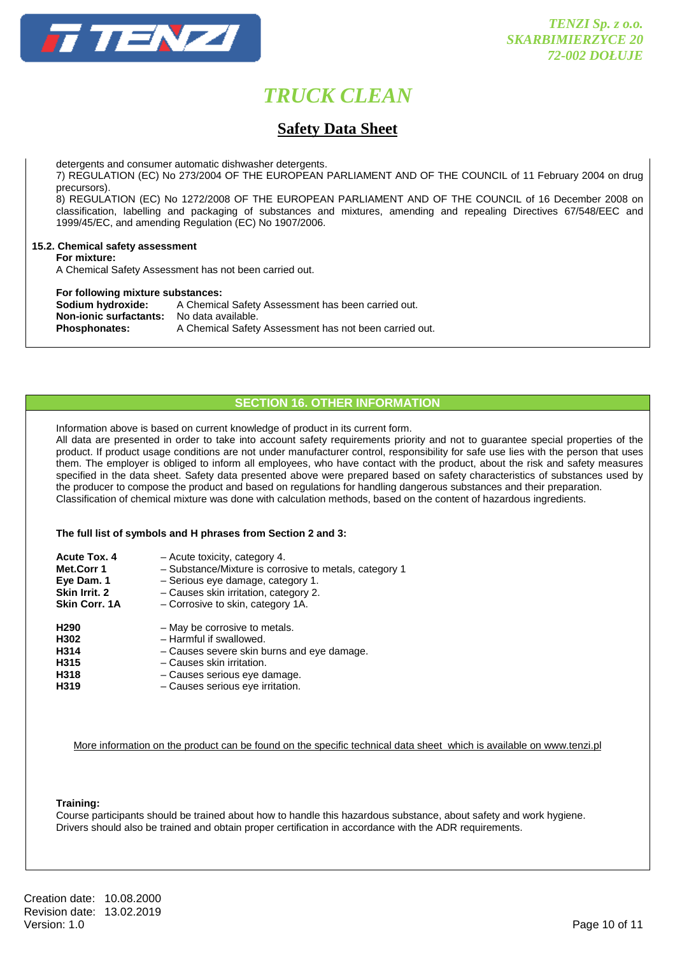

# **Safety Data Sheet**

detergents and consumer automatic dishwasher detergents.

 7) REGULATION (EC) No 273/2004 OF THE EUROPEAN PARLIAMENT AND OF THE COUNCIL of 11 February 2004 on drug precursors).

 8) REGULATION (EC) No 1272/2008 OF THE EUROPEAN PARLIAMENT AND OF THE COUNCIL of 16 December 2008 on classification, labelling and packaging of substances and mixtures, amending and repealing Directives 67/548/EEC and 1999/45/EC, and amending Regulation (EC) No 1907/2006.

### **15.2. Chemical safety assessment**

 **For mixture:** 

A Chemical Safety Assessment has not been carried out.

#### **For following mixture substances:**

**Sodium hydroxide:** A Chemical Safety Assessment has been carried out. **Non-ionic surfactants:** No data available. Phosphonates: A Chemical Safety Assessment has not been carried out.

## **SECTION 16. OTHER INFORMATION**

 Information above is based on current knowledge of product in its current form. All data are presented in order to take into account safety requirements priority and not to guarantee special properties of the product. If product usage conditions are not under manufacturer control, responsibility for safe use lies with the person that uses them. The employer is obliged to inform all employees, who have contact with the product, about the risk and safety measures specified in the data sheet. Safety data presented above were prepared based on safety characteristics of substances used by the producer to compose the product and based on regulations for handling dangerous substances and their preparation. Classification of chemical mixture was done with calculation methods, based on the content of hazardous ingredients.

#### **The full list of symbols and H phrases from Section 2 and 3:**

| <b>Acute Tox. 4</b><br>Met.Corr 1<br>Eye Dam. 1<br>Skin Irrit. 2<br>Skin Corr. 1A | - Acute toxicity, category 4.<br>- Substance/Mixture is corrosive to metals, category 1<br>- Serious eye damage, category 1.<br>- Causes skin irritation, category 2.<br>- Corrosive to skin, category 1A. |
|-----------------------------------------------------------------------------------|------------------------------------------------------------------------------------------------------------------------------------------------------------------------------------------------------------|
| H <sub>290</sub><br>H302                                                          | - May be corrosive to metals.<br>- Harmful if swallowed.                                                                                                                                                   |
| H314                                                                              | - Causes severe skin burns and eye damage.                                                                                                                                                                 |
| H315                                                                              | - Causes skin irritation.                                                                                                                                                                                  |
| H318                                                                              | - Causes serious eye damage.                                                                                                                                                                               |
| H319                                                                              | - Causes serious eye irritation.                                                                                                                                                                           |

More information on the product can be found on the specific technical data sheet which is available on www.tenzi.pl

#### **Training:**

Course participants should be trained about how to handle this hazardous substance, about safety and work hygiene. Drivers should also be trained and obtain proper certification in accordance with the ADR requirements.

Creation date: 10.08.2000 Revision date: 13.02.2019<br>Version: 1.0